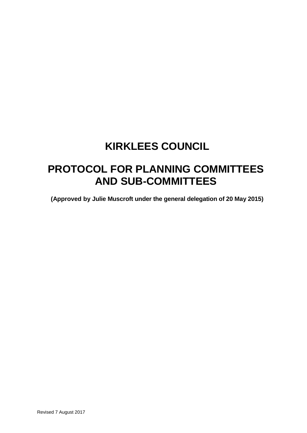# **KIRKLEES COUNCIL**

# **PROTOCOL FOR PLANNING COMMITTEES AND SUB-COMMITTEES**

**(Approved by Julie Muscroft under the general delegation of 20 May 2015)**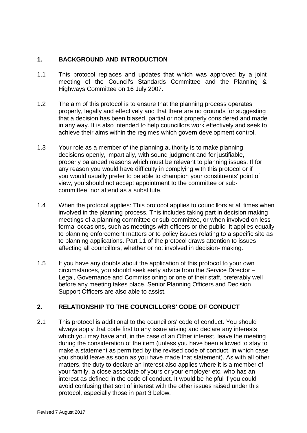### **1. BACKGROUND AND INTRODUCTION**

- 1.1 This protocol replaces and updates that which was approved by a joint meeting of the Council's Standards Committee and the Planning & Highways Committee on 16 July 2007.
- 1.2 The aim of this protocol is to ensure that the planning process operates properly, legally and effectively and that there are no grounds for suggesting that a decision has been biased, partial or not properly considered and made in any way. It is also intended to help councillors work effectively and seek to achieve their aims within the regimes which govern development control.
- 1.3 Your role as a member of the planning authority is to make planning decisions openly, impartially, with sound judgment and for justifiable, properly balanced reasons which must be relevant to planning issues. If for any reason you would have difficulty in complying with this protocol or if you would usually prefer to be able to champion your constituents' point of view, you should not accept appointment to the committee or subcommittee, nor attend as a substitute.
- 1.4 When the protocol applies: This protocol applies to councillors at all times when involved in the planning process. This includes taking part in decision making meetings of a planning committee or sub-committee, or when involved on less formal occasions, such as meetings with officers or the public. It applies equally to planning enforcement matters or to policy issues relating to a specific site as to planning applications. Part 11 of the protocol draws attention to issues affecting all councillors, whether or not involved in decision- making.
- 1.5 If you have any doubts about the application of this protocol to your own circumstances, you should seek early advice from the Service Director – Legal, Governance and Commissioning or one of their staff, preferably well before any meeting takes place. Senior Planning Officers and Decision Support Officers are also able to assist.

# **2. RELATIONSHIP TO THE COUNCILLORS' CODE OF CONDUCT**

2.1 This protocol is additional to the councillors' code of conduct. You should always apply that code first to any issue arising and declare any interests which you may have and, in the case of an Other interest, leave the meeting during the consideration of the item (unless you have been allowed to stay to make a statement as permitted by the revised code of conduct, in which case you should leave as soon as you have made that statement). As with all other matters, the duty to declare an interest also applies where it is a member of your family, a close associate of yours or your employer etc, who has an interest as defined in the code of conduct. It would be helpful if you could avoid confusing that sort of interest with the other issues raised under this protocol, especially those in part 3 below.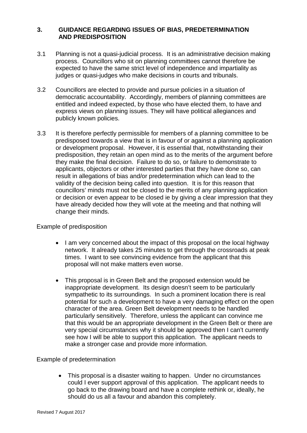#### **3. GUIDANCE REGARDING ISSUES OF BIAS, PREDETERMINATION AND PREDISPOSITION**

- 3.1 Planning is not a quasi-judicial process. It is an administrative decision making process. Councillors who sit on planning committees cannot therefore be expected to have the same strict level of independence and impartiality as judges or quasi-judges who make decisions in courts and tribunals.
- 3.2 Councillors are elected to provide and pursue policies in a situation of democratic accountability. Accordingly, members of planning committees are entitled and indeed expected, by those who have elected them, to have and express views on planning issues. They will have political allegiances and publicly known policies.
- 3.3 It is therefore perfectly permissible for members of a planning committee to be predisposed towards a view that is in favour of or against a planning application or development proposal. However, it is essential that, notwithstanding their predisposition, they retain an open mind as to the merits of the argument before they make the final decision. Failure to do so, or failure to demonstrate to applicants, objectors or other interested parties that they have done so, can result in allegations of bias and/or predetermination which can lead to the validity of the decision being called into question. It is for this reason that councillors' minds must not be closed to the merits of any planning application or decision or even appear to be closed ie by giving a clear impression that they have already decided how they will vote at the meeting and that nothing will change their minds.

Example of predisposition

- I am very concerned about the impact of this proposal on the local highway network. It already takes 25 minutes to get through the crossroads at peak times. I want to see convincing evidence from the applicant that this proposal will not make matters even worse.
- This proposal is in Green Belt and the proposed extension would be inappropriate development. Its design doesn't seem to be particularly sympathetic to its surroundings. In such a prominent location there is real potential for such a development to have a very damaging effect on the open character of the area. Green Belt development needs to be handled particularly sensitively. Therefore, unless the applicant can convince me that this would be an appropriate development in the Green Belt or there are very special circumstances why it should be approved then I can't currently see how I will be able to support this application. The applicant needs to make a stronger case and provide more information.

Example of predetermination

• This proposal is a disaster waiting to happen. Under no circumstances could I ever support approval of this application. The applicant needs to go back to the drawing board and have a complete rethink or, ideally, he should do us all a favour and abandon this completely.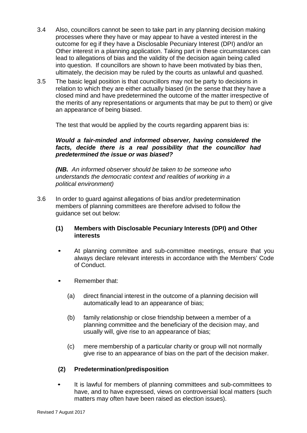- 3.4 Also, councillors cannot be seen to take part in any planning decision making processes where they have or may appear to have a vested interest in the outcome for eg if they have a Disclosable Pecuniary Interest (DPI) and/or an Other interest in a planning application. Taking part in these circumstances can lead to allegations of bias and the validity of the decision again being called into question. If councillors are shown to have been motivated by bias then, ultimately, the decision may be ruled by the courts as unlawful and quashed.
- 3.5 The basic legal position is that councillors may not be party to decisions in relation to which they are either actually biased (in the sense that they have a closed mind and have predetermined the outcome of the matter irrespective of the merits of any representations or arguments that may be put to them) or give an appearance of being biased.

The test that would be applied by the courts regarding apparent bias is:

#### *Would a fair-minded and informed observer, having considered the facts, decide there is a real possibility that the councillor had predetermined the issue or was biased?*

*(NB. An informed observer should be taken to be someone who understands the democratic context and realities of working in a political environment)*

3.6 In order to guard against allegations of bias and/or predetermination members of planning committees are therefore advised to follow the guidance set out below:

#### **(1) Members with Disclosable Pecuniary Interests (DPI) and Other interests**

- At planning committee and sub-committee meetings, ensure that you always declare relevant interests in accordance with the Members' Code of Conduct.
- Remember that:
	- (a) direct financial interest in the outcome of a planning decision will automatically lead to an appearance of bias;
	- (b) family relationship or close friendship between a member of a planning committee and the beneficiary of the decision may, and usually will, give rise to an appearance of bias;
	- (c) mere membership of a particular charity or group will not normally give rise to an appearance of bias on the part of the decision maker.

# **(2) Predetermination/predisposition**

It is lawful for members of planning committees and sub-committees to have, and to have expressed, views on controversial local matters (such matters may often have been raised as election issues).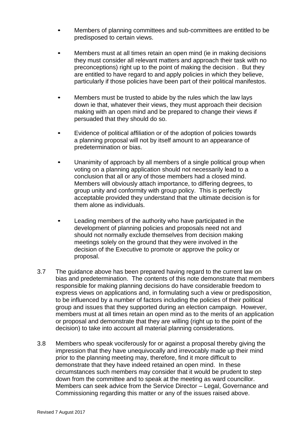- Members of planning committees and sub-committees are entitled to be predisposed to certain views.
- Members must at all times retain an open mind (ie in making decisions they must consider all relevant matters and approach their task with no preconceptions) right up to the point of making the decision . But they are entitled to have regard to and apply policies in which they believe, particularly if those policies have been part of their political manifestos.
- Members must be trusted to abide by the rules which the law lays down ie that, whatever their views, they must approach their decision making with an open mind and be prepared to change their views if persuaded that they should do so.
- Evidence of political affiliation or of the adoption of policies towards a planning proposal will not by itself amount to an appearance of predetermination or bias.
- Unanimity of approach by all members of a single political group when voting on a planning application should not necessarily lead to a conclusion that all or any of those members had a closed mind. Members will obviously attach importance, to differing degrees, to group unity and conformity with group policy. This is perfectly acceptable provided they understand that the ultimate decision is for them alone as individuals.
- Leading members of the authority who have participated in the development of planning policies and proposals need not and should not normally exclude themselves from decision making meetings solely on the ground that they were involved in the decision of the Executive to promote or approve the policy or proposal.
- 3.7 The guidance above has been prepared having regard to the current law on bias and predetermination. The contents of this note demonstrate that members responsible for making planning decisions do have considerable freedom to express views on applications and, in formulating such a view or predisposition, to be influenced by a number of factors including the policies of their political group and issues that they supported during an election campaign. However, members must at all times retain an open mind as to the merits of an application or proposal and demonstrate that they are willing (right up to the point of the decision) to take into account all material planning considerations.
- 3.8 Members who speak vociferously for or against a proposal thereby giving the impression that they have unequivocally and irrevocably made up their mind prior to the planning meeting may, therefore, find it more difficult to demonstrate that they have indeed retained an open mind. In these circumstances such members may consider that it would be prudent to step down from the committee and to speak at the meeting as ward councillor. Members can seek advice from the Service Director – Legal, Governance and Commissioning regarding this matter or any of the issues raised above.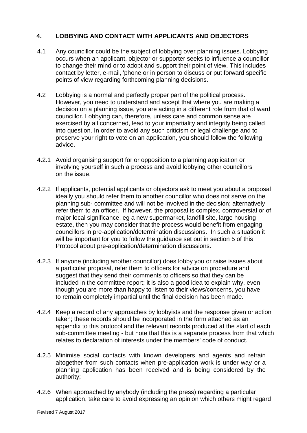#### **4. LOBBYING AND CONTACT WITH APPLICANTS AND OBJECTORS**

- 4.1 Any councillor could be the subject of lobbying over planning issues. Lobbying occurs when an applicant, objector or supporter seeks to influence a councillor to change their mind or to adopt and support their point of view. This includes contact by letter, e-mail, 'phone or in person to discuss or put forward specific points of view regarding forthcoming planning decisions.
- 4.2 Lobbying is a normal and perfectly proper part of the political process. However, you need to understand and accept that where you are making a decision on a planning issue, you are acting in a different role from that of ward councillor. Lobbying can, therefore, unless care and common sense are exercised by all concerned, lead to your impartiality and integrity being called into question. In order to avoid any such criticism or legal challenge and to preserve your right to vote on an application, you should follow the following advice.
- 4.2.1 Avoid organising support for or opposition to a planning application or involving yourself in such a process and avoid lobbying other councillors on the issue.
- 4.2.2 If applicants, potential applicants or objectors ask to meet you about a proposal ideally you should refer them to another councillor who does not serve on the planning sub- committee and will not be involved in the decision; alternatively refer them to an officer. If however, the proposal is complex, controversial or of major local significance, eg a new supermarket, landfill site, large housing estate, then you may consider that the process would benefit from engaging councillors in pre-application/determination discussions. In such a situation it will be important for you to follow the guidance set out in section 5 of this Protocol about pre-application/determination discussions.
- 4.2.3 If anyone (including another councillor) does lobby you or raise issues about a particular proposal, refer them to officers for advice on procedure and suggest that they send their comments to officers so that they can be included in the committee report; it is also a good idea to explain why, even though you are more than happy to listen to their views/concerns, you have to remain completely impartial until the final decision has been made.
- 4.2.4 Keep a record of any approaches by lobbyists and the response given or action taken; these records should be incorporated in the form attached as an appendix to this protocol and the relevant records produced at the start of each sub-committee meeting - but note that this is a separate process from that which relates to declaration of interests under the members' code of conduct.
- 4.2.5 Minimise social contacts with known developers and agents and refrain altogether from such contacts when pre-application work is under way or a planning application has been received and is being considered by the authority;
- 4.2.6 When approached by anybody (including the press) regarding a particular application, take care to avoid expressing an opinion which others might regard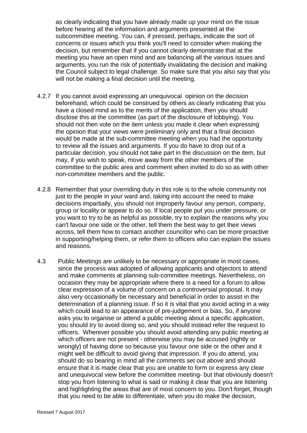as clearly indicating that you have already made up your mind on the issue before hearing all the information and arguments presented at the subcommittee meeting. You can, if pressed, perhaps, indicate the sort of concerns or issues which you think you'll need to consider when making the decision, but remember that if you cannot clearly demonstrate that at the meeting you have an open mind and are balancing all the various issues and arguments, you run the risk of potentially invalidating the decision and making the Council subject to legal challenge. So make sure that you also say that you will not be making a final decision until the meeting.

- 4.2.7 If you cannot avoid expressing an unequivocal opinion on the decision beforehand, which could be construed by others as clearly indicating that you have a closed mind as to the merits of the application, then you should disclose this at the committee (as part of the disclosure of lobbying). You should not then vote on the item unless you made it clear when expressing the opinion that your views were preliminary only and that a final decision would be made at the sub-committee meeting when you had the opportunity to review all the issues and arguments. If you do have to drop out of a particular decision, you should not take part in the discussion on the item, but may, if you wish to speak, move away from the other members of the committee to the public area and comment when invited to do so as with other non-committee members and the public.
- 4.2.8 Remember that your overriding duty in this role is to the whole community not just to the people in your ward and, taking into account the need to make decisions impartially, you should not improperly favour any person, company, group or locality or appear to do so. If local people put you under pressure, or you want to try to be as helpful as possible, try to explain the reasons why you can't favour one side or the other, tell them the best way to get their views across, tell them how to contact another councillor who can be more proactive in supporting/helping them, or refer them to officers who can explain the issues and reasons.
- 4.3 Public Meetings are unlikely to be necessary or appropriate in most cases, since the process was adopted of allowing applicants and objectors to attend and make comments at planning sub-committee meetings. Nevertheless, on occasion they may be appropriate where there is a need for a forum to allow clear expression of a volume of concern on a controversial proposal. It may also very occasionally be necessary and beneficial in order to assist in the determination of a planning issue. If so it is vital that you avoid acting in a way which could lead to an appearance of pre-judgement or bias. So, if anyone asks you to organise or attend a public meeting about a specific application, you should try to avoid doing so, and you should instead refer the request to officers. Wherever possible you should avoid attending any public meeting at which officers are not present - otherwise you may be accused (rightly or wrongly) of having done so because you favour one side or the other and it might well be difficult to avoid giving that impression. If you do attend, you should do so bearing in mind all the comments set out above and should ensure that it is made clear that you are unable to form or express any clear and unequivocal view before the committee meeting- but that obviously doesn't stop you from listening to what is said or making it clear that you are listening and highlighting the areas that are of most concern to you. Don't forget, though that you need to be able to differentiate, when you do make the decision,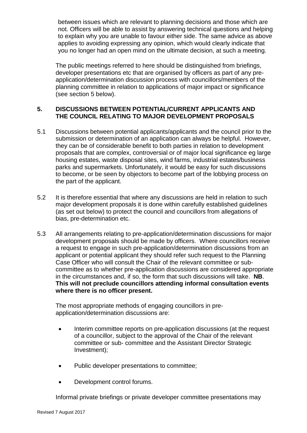between issues which are relevant to planning decisions and those which are not. Officers will be able to assist by answering technical questions and helping to explain why you are unable to favour either side. The same advice as above applies to avoiding expressing any opinion, which would clearly indicate that you no longer had an open mind on the ultimate decision, at such a meeting.

The public meetings referred to here should be distinguished from briefings, developer presentations etc that are organised by officers as part of any preapplication/determination discussion process with councillors/members of the planning committee in relation to applications of major impact or significance (see section 5 below).

#### **5. DISCUSSIONS BETWEEN POTENTIAL/CURRENT APPLICANTS AND THE COUNCIL RELATING TO MAJOR DEVELOPMENT PROPOSALS**

- 5.1 Discussions between potential applicants/applicants and the council prior to the submission or determination of an application can always be helpful. However, they can be of considerable benefit to both parties in relation to development proposals that are complex, controversial or of major local significance eg large housing estates, waste disposal sites, wind farms, industrial estates/business parks and supermarkets. Unfortunately, it would be easy for such discussions to become, or be seen by objectors to become part of the lobbying process on the part of the applicant.
- 5.2 It is therefore essential that where any discussions are held in relation to such major development proposals it is done within carefully established guidelines (as set out below) to protect the council and councillors from allegations of bias, pre-determination etc.
- 5.3 All arrangements relating to pre-application/determination discussions for major development proposals should be made by officers. Where councillors receive a request to engage in such pre-application/determination discussions from an applicant or potential applicant they should refer such request to the Planning Case Officer who will consult the Chair of the relevant committee or subcommittee as to whether pre-application discussions are considered appropriate in the circumstances and, if so, the form that such discussions will take. **NB**. **This will not preclude councillors attending informal consultation events where there is no officer present.**

The most appropriate methods of engaging councillors in preapplication/determination discussions are:

- Interim committee reports on pre-application discussions (at the request of a councillor, subject to the approval of the Chair of the relevant committee or sub- committee and the Assistant Director Strategic Investment);
- Public developer presentations to committee;
- Development control forums.

Informal private briefings or private developer committee presentations may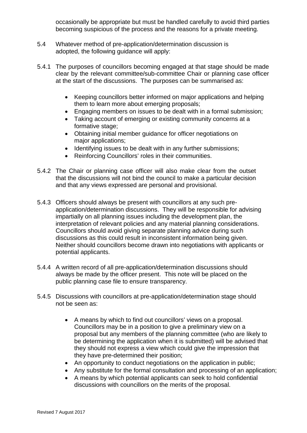occasionally be appropriate but must be handled carefully to avoid third parties becoming suspicious of the process and the reasons for a private meeting.

- 5.4 Whatever method of pre-application/determination discussion is adopted, the following guidance will apply:
- 5.4.1 The purposes of councillors becoming engaged at that stage should be made clear by the relevant committee/sub-committee Chair or planning case officer at the start of the discussions. The purposes can be summarised as:
	- Keeping councillors better informed on major applications and helping them to learn more about emerging proposals;
	- Engaging members on issues to be dealt with in a formal submission;
	- Taking account of emerging or existing community concerns at a formative stage;
	- Obtaining initial member guidance for officer negotiations on major applications;
	- Identifying issues to be dealt with in any further submissions;
	- Reinforcing Councillors' roles in their communities.
- 5.4.2 The Chair or planning case officer will also make clear from the outset that the discussions will not bind the council to make a particular decision and that any views expressed are personal and provisional.
- 5.4.3 Officers should always be present with councillors at any such preapplication/determination discussions. They will be responsible for advising impartially on all planning issues including the development plan, the interpretation of relevant policies and any material planning considerations. Councillors should avoid giving separate planning advice during such discussions as this could result in inconsistent information being given. Neither should councillors become drawn into negotiations with applicants or potential applicants.
- 5.4.4 A written record of all pre-application/determination discussions should always be made by the officer present. This note will be placed on the public planning case file to ensure transparency.
- 5.4.5 Discussions with councillors at pre-application/determination stage should not be seen as:
	- A means by which to find out councillors' views on a proposal. Councillors may be in a position to give a preliminary view on a proposal but any members of the planning committee (who are likely to be determining the application when it is submitted) will be advised that they should not express a view which could give the impression that they have pre-determined their position;
	- An opportunity to conduct negotiations on the application in public;
	- Any substitute for the formal consultation and processing of an application;
	- A means by which potential applicants can seek to hold confidential discussions with councillors on the merits of the proposal.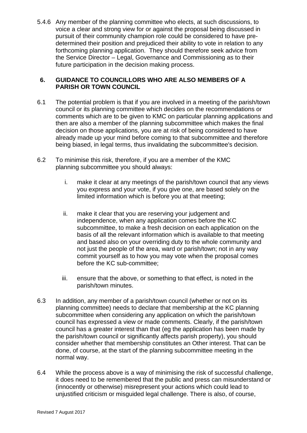5.4.6 Any member of the planning committee who elects, at such discussions, to voice a clear and strong view for or against the proposal being discussed in pursuit of their community champion role could be considered to have predetermined their position and prejudiced their ability to vote in relation to any forthcoming planning application. They should therefore seek advice from the Service Director – Legal, Governance and Commissioning as to their future participation in the decision making process.

#### **6. GUIDANCE TO COUNCILLORS WHO ARE ALSO MEMBERS OF A PARISH OR TOWN COUNCIL**

- 6.1 The potential problem is that if you are involved in a meeting of the parish/town council or its planning committee which decides on the recommendations or comments which are to be given to KMC on particular planning applications and then are also a member of the planning subcommittee which makes the final decision on those applications, you are at risk of being considered to have already made up your mind before coming to that subcommittee and therefore being biased, in legal terms, thus invalidating the subcommittee's decision.
- 6.2 To minimise this risk, therefore, if you are a member of the KMC planning subcommittee you should always:
	- i. make it clear at any meetings of the parish/town council that any views you express and your vote, if you give one, are based solely on the limited information which is before you at that meeting;
	- ii. make it clear that you are reserving your judgement and independence, when any application comes before the KC subcommittee, to make a fresh decision on each application on the basis of all the relevant information which is available to that meeting and based also on your overriding duty to the whole community and not just the people of the area, ward or parish/town; not in any way commit yourself as to how you may vote when the proposal comes before the KC sub-committee;
	- iii. ensure that the above, or something to that effect, is noted in the parish/town minutes.
- 6.3 In addition, any member of a parish/town council (whether or not on its planning committee) needs to declare that membership at the KC planning subcommittee when considering any application on which the parish/town council has expressed a view or made comments. Clearly, if the parish/town council has a greater interest than that (eg the application has been made by the parish/town council or significantly affects parish property), you should consider whether that membership constitutes an Other interest. That can be done, of course, at the start of the planning subcommittee meeting in the normal way.
- 6.4 While the process above is a way of minimising the risk of successful challenge, it does need to be remembered that the public and press can misunderstand or (innocently or otherwise) misrepresent your actions which could lead to unjustified criticism or misguided legal challenge. There is also, of course,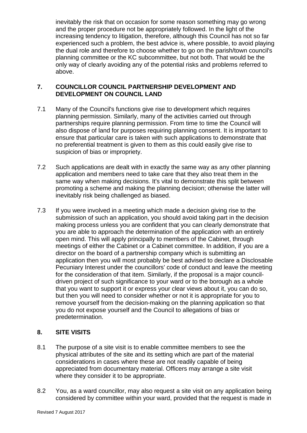inevitably the risk that on occasion for some reason something may go wrong and the proper procedure not be appropriately followed. In the light of the increasing tendency to litigation, therefore, although this Council has not so far experienced such a problem, the best advice is, where possible, to avoid playing the dual role and therefore to choose whether to go on the parish/town council's planning committee or the KC subcommittee, but not both. That would be the only way of clearly avoiding any of the potential risks and problems referred to above.

#### **7. COUNCILLOR COUNCIL PARTNERSHIP DEVELOPMENT AND DEVELOPMENT ON COUNCIL LAND**

- 7.1 Many of the Council's functions give rise to development which requires planning permission. Similarly, many of the activities carried out through partnerships require planning permission. From time to time the Council will also dispose of land for purposes requiring planning consent. It is important to ensure that particular care is taken with such applications to demonstrate that no preferential treatment is given to them as this could easily give rise to suspicion of bias or impropriety.
- 7.2 Such applications are dealt with in exactly the same way as any other planning application and members need to take care that they also treat them in the same way when making decisions. It's vital to demonstrate this split between promoting a scheme and making the planning decision; otherwise the latter will inevitably risk being challenged as biased.
- 7.3 If you were involved in a meeting which made a decision giving rise to the submission of such an application, you should avoid taking part in the decision making process unless you are confident that you can clearly demonstrate that you are able to approach the determination of the application with an entirely open mind. This will apply principally to members of the Cabinet, through meetings of either the Cabinet or a Cabinet committee. In addition, if you are a director on the board of a partnership company which is submitting an application then you will most probably be best advised to declare a Disclosable Pecuniary Interest under the councillors' code of conduct and leave the meeting for the consideration of that item. Similarly, if the proposal is a major councildriven project of such significance to your ward or to the borough as a whole that you want to support it or express your clear views about it, you can do so, but then you will need to consider whether or not it is appropriate for you to remove yourself from the decision-making on the planning application so that you do not expose yourself and the Council to allegations of bias or predetermination.

# **8. SITE VISITS**

- 8.1 The purpose of a site visit is to enable committee members to see the physical attributes of the site and its setting which are part of the material considerations in cases where these are not readily capable of being appreciated from documentary material. Officers may arrange a site visit where they consider it to be appropriate.
- 8.2 You, as a ward councillor, may also request a site visit on any application being considered by committee within your ward, provided that the request is made in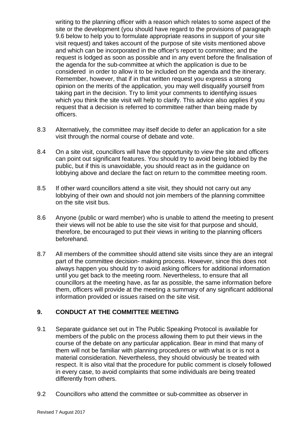writing to the planning officer with a reason which relates to some aspect of the site or the development (you should have regard to the provisions of paragraph 9.6 below to help you to formulate appropriate reasons in support of your site visit request) and takes account of the purpose of site visits mentioned above and which can be incorporated in the officer's report to committee; and the request is lodged as soon as possible and in any event before the finalisation of the agenda for the sub-committee at which the application is due to be considered in order to allow it to be included on the agenda and the itinerary. Remember, however, that if in that written request you express a strong opinion on the merits of the application, you may well disqualify yourself from taking part in the decision. Try to limit your comments to identifying issues which you think the site visit will help to clarify. This advice also applies if you request that a decision is referred to committee rather than being made by officers.

- 8.3 Alternatively, the committee may itself decide to defer an application for a site visit through the normal course of debate and vote.
- 8.4 On a site visit, councillors will have the opportunity to view the site and officers can point out significant features. You should try to avoid being lobbied by the public, but if this is unavoidable, you should react as in the guidance on lobbying above and declare the fact on return to the committee meeting room.
- 8.5 If other ward councillors attend a site visit, they should not carry out any lobbying of their own and should not join members of the planning committee on the site visit bus.
- 8.6 Anyone (public or ward member) who is unable to attend the meeting to present their views will not be able to use the site visit for that purpose and should, therefore, be encouraged to put their views in writing to the planning officers beforehand.
- 8.7 All members of the committee should attend site visits since they are an integral part of the committee decision- making process. However, since this does not always happen you should try to avoid asking officers for additional information until you get back to the meeting room. Nevertheless, to ensure that all councillors at the meeting have, as far as possible, the same information before them, officers will provide at the meeting a summary of any significant additional information provided or issues raised on the site visit.

#### **9. CONDUCT AT THE COMMITTEE MEETING**

- 9.1 Separate guidance set out in The Public Speaking Protocol is available for members of the public on the process allowing them to put their views in the course of the debate on any particular application. Bear in mind that many of them will not be familiar with planning procedures or with what is or is not a material consideration. Nevertheless, they should obviously be treated with respect. It is also vital that the procedure for public comment is closely followed in every case, to avoid complaints that some individuals are being treated differently from others.
- 9.2 Councillors who attend the committee or sub-committee as observer in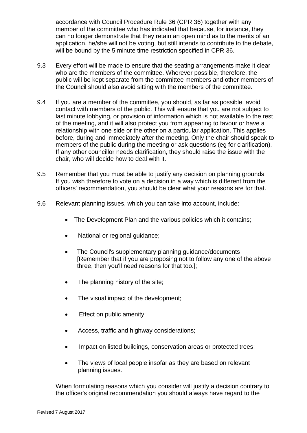accordance with Council Procedure Rule 36 (CPR 36) together with any member of the committee who has indicated that because, for instance, they can no longer demonstrate that they retain an open mind as to the merits of an application, he/she will not be voting, but still intends to contribute to the debate, will be bound by the 5 minute time restriction specified in CPR 36.

- 9.3 Every effort will be made to ensure that the seating arrangements make it clear who are the members of the committee. Wherever possible, therefore, the public will be kept separate from the committee members and other members of the Council should also avoid sitting with the members of the committee.
- 9.4 If you are a member of the committee, you should, as far as possible, avoid contact with members of the public. This will ensure that you are not subject to last minute lobbying, or provision of information which is not available to the rest of the meeting, and it will also protect you from appearing to favour or have a relationship with one side or the other on a particular application. This applies before, during and immediately after the meeting. Only the chair should speak to members of the public during the meeting or ask questions (eg for clarification). If any other councillor needs clarification, they should raise the issue with the chair, who will decide how to deal with it.
- 9.5 Remember that you must be able to justify any decision on planning grounds. If you wish therefore to vote on a decision in a way which is different from the officers' recommendation, you should be clear what your reasons are for that.
- 9.6 Relevant planning issues, which you can take into account, include:
	- The Development Plan and the various policies which it contains;
	- National or regional guidance;
	- The Council's supplementary planning quidance/documents [Remember that if you are proposing not to follow any one of the above three, then you'll need reasons for that too.];
	- The planning history of the site;
	- The visual impact of the development;
	- Effect on public amenity;
	- Access, traffic and highway considerations;
	- Impact on listed buildings, conservation areas or protected trees;
	- The views of local people insofar as they are based on relevant planning issues.

When formulating reasons which you consider will justify a decision contrary to the officer's original recommendation you should always have regard to the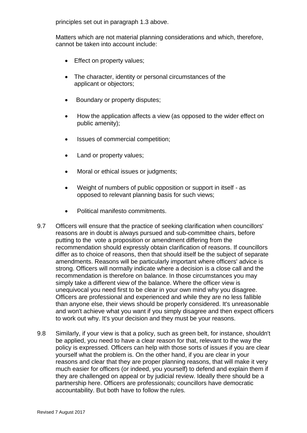principles set out in paragraph 1.3 above.

Matters which are not material planning considerations and which, therefore, cannot be taken into account include:

- Effect on property values:
- The character, identity or personal circumstances of the applicant or objectors;
- Boundary or property disputes;
- How the application affects a view (as opposed to the wider effect on public amenity);
- Issues of commercial competition;
- Land or property values;
- Moral or ethical issues or judgments;
- Weight of numbers of public opposition or support in itself *-* as opposed to relevant planning basis for such views;
- Political manifesto commitments.
- 9.7 Officers will ensure that the practice of seeking clarification when councillors' reasons are in doubt is always pursued and sub-committee chairs, before putting to the vote a proposition or amendment differing from the recommendation should expressly obtain clarification of reasons. If councillors differ as to choice of reasons, then that should itself be the subject of separate amendments. Reasons will be particularly important where officers' advice is strong. Officers will normally indicate where a decision is a close call and the recommendation is therefore on balance. In those circumstances you may simply take a different view of the balance. Where the officer view is unequivocal you need first to be clear in your own mind why you disagree. Officers are professional and experienced and while they are no less fallible than anyone else, their views should be properly considered. It's unreasonable and won't achieve what you want if you simply disagree and then expect officers to work out why. It's your decision and they must be your reasons.
- 9.8 Similarly, if your view is that a policy, such as green belt, for instance, shouldn't be applied, you need to have a clear reason for that, relevant to the way the policy is expressed. Officers can help with those sorts of issues if you are clear yourself what the problem is. On the other hand, if you are clear in your reasons and clear that they are proper planning reasons, that will make it very much easier for officers (or indeed, you yourself) to defend and explain them if they are challenged on appeal or by judicial review. Ideally there should be a partnership here. Officers are professionals; councillors have democratic accountability. But both have to follow the rules.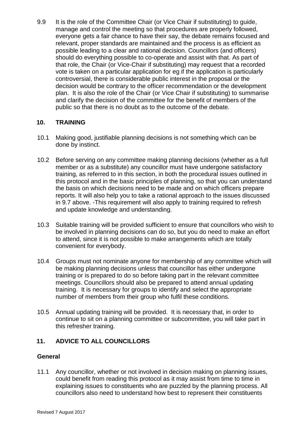9.9 It is the role of the Committee Chair (or Vice Chair if substituting) to guide, manage and control the meeting so that procedures are properly followed, everyone gets a fair chance to have their say, the debate remains focused and relevant, proper standards are maintained and the process is as efficient as possible leading to a clear and rational decision. Councillors (and officers) should do everything possible to co-operate and assist with that. As part of that role, the Chair (or Vice-Chair if substituting) may request that a recorded vote is taken on a particular application for eg if the application is particularly controversial, there is considerable public interest in the proposal or the decision would be contrary to the officer recommendation or the development plan. It is also the role of the Chair (or Vice Chair if substituting) to summarise and clarify the decision of the committee for the benefit of members of the public so that there is no doubt as to the outcome of the debate.

# **10. TRAINING**

- 10.1 Making good, justifiable planning decisions is not something which can be done by instinct.
- 10.2 Before serving on any committee making planning decisions (whether as a full member or as a substitute) any councillor must have undergone satisfactory training, as referred to in this section, in both the procedural issues outlined in this protocol and in the basic principles of planning, so that you can understand the basis on which decisions need to be made and on which officers prepare reports. It will also help you to take a rational approach to the issues discussed in 9.7 above. -This requirement will also apply to training required to refresh and update knowledge and understanding.
- 10.3 Suitable training will be provided sufficient to ensure that councillors who wish to be involved in planning decisions can do so, but you do need to make an effort to attend, since it is not possible to make arrangements which are totally convenient for everybody.
- 10.4 Groups must not nominate anyone for membership of any committee which will be making planning decisions unless that councillor has either undergone training or is prepared to do so before taking part in the relevant committee meetings. Councillors should also be prepared to attend annual updating training. It is necessary for groups to identify and select the appropriate number of members from their group who fulfil these conditions.
- 10.5 Annual updating training will be provided. It is necessary that, in order to continue to sit on a planning committee or subcommittee, you will take part in this refresher training.

# **11. ADVICE TO ALL COUNCILLORS**

#### **General**

11.1 Any councillor, whether or not involved in decision making on planning issues, could benefit from reading this protocol as it may assist from time to time in explaining issues to constituents who are puzzled by the planning process. All councillors also need to understand how best to represent their constituents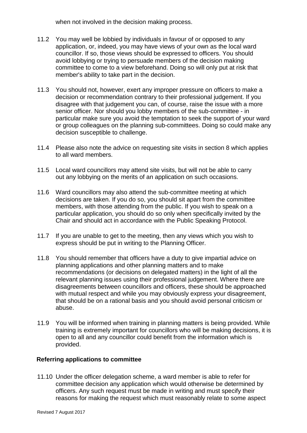when not involved in the decision making process.

- 11.2 You may well be lobbied by individuals in favour of or opposed to any application, or, indeed, you may have views of your own as the local ward councillor. If so, those views should be expressed to officers. You should avoid lobbying or trying to persuade members of the decision making committee to come to a view beforehand. Doing so will only put at risk that member's ability to take part in the decision.
- 11.3 You should not, however, exert any improper pressure on officers to make a decision or recommendation contrary to their professional judgement. If you disagree with that judgement you can, of course, raise the issue with a more senior officer. Nor should you lobby members of the sub-committee - in particular make sure you avoid the temptation to seek the support of your ward or group colleagues on the planning sub-committees. Doing so could make any decision susceptible to challenge.
- 11.4 Please also note the advice on requesting site visits in section 8 which applies to all ward members.
- 11.5 Local ward councillors may attend site visits, but will not be able to carry out any lobbying on the merits of an application on such occasions.
- 11.6 Ward councillors may also attend the sub-committee meeting at which decisions are taken. If you do so, you should sit apart from the committee members, with those attending from the public. If you wish to speak on a particular application, you should do so only when specifically invited by the Chair and should act in accordance with the Public Speaking Protocol.
- 11.7 If you are unable to get to the meeting, then any views which you wish to express should be put in writing to the Planning Officer.
- 11.8 You should remember that officers have a duty to give impartial advice on planning applications and other planning matters and to make recommendations (or decisions on delegated matters) in the light of all the relevant planning issues using their professional judgement. Where there are disagreements between councillors and officers, these should be approached with mutual respect and while you may obviously express your disagreement, that should be on a rational basis and you should avoid personal criticism or abuse.
- 11.9 You will be informed when training in planning matters is being provided. While training is extremely important for councillors who will be making decisions, it is open to all and any councillor could benefit from the information which is provided.

#### **Referring applications to committee**

11.10 Under the officer delegation scheme, a ward member is able to refer for committee decision any application which would otherwise be determined by officers. Any such request must be made in writing and must specify their reasons for making the request which must reasonably relate to some aspect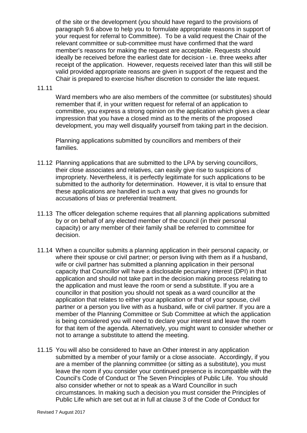of the site or the development (you should have regard to the provisions of paragraph 9.6 above to help you to formulate appropriate reasons in support of your request for referral to Committee). To be a valid request the Chair of the relevant committee or sub-committee must have confirmed that the ward member's reasons for making the request are acceptable. Requests should ideally be received before the earliest date for decision - i.e. three weeks after receipt of the application. However, requests received later than this will still be valid provided appropriate reasons are given in support of the request and the Chair is prepared to exercise his/her discretion to consider the late request.

#### 11.11

Ward members who are also members of the committee (or substitutes) should remember that if, in your written request for referral of an application to committee, you express a strong opinion on the application which gives a clear impression that you have a closed mind as to the merits of the proposed development, you may well disqualify yourself from taking part in the decision.

Planning applications submitted by councillors and members of their families.

- 11.12 Planning applications that are submitted to the LPA by serving councillors, their close associates and relatives, can easily give rise to suspicions of impropriety. Nevertheless, it is perfectly legitimate for such applications to be submitted to the authority for determination. However, it is vital to ensure that these applications are handled in such a way that gives no grounds for accusations of bias or preferential treatment.
- 11.13 The officer delegation scheme requires that all planning applications submitted by or on behalf of any elected member of the council (in their personal capacity) or any member of their family shall be referred to committee for decision.
- 11.14 When a councillor submits a planning application in their personal capacity, or where their spouse or civil partner; or person living with them as if a husband, wife or civil partner has submitted a planning application in their personal capacity that Councillor will have a disclosable pecuniary interest (DPI) in that application and should not take part in the decision making process relating to the application and must leave the room or send a substitute. If you are a councillor in that position you should not speak as a ward councillor at the application that relates to either your application or that of your spouse, civil partner or a person you live with as a husband, wife or civil partner. If you are a member of the Planning Committee or Sub Committee at which the application is being considered you will need to declare your interest and leave the room for that item of the agenda. Alternatively, you might want to consider whether or not to arrange a substitute to attend the meeting.
- 11.15 You will also be considered to have an Other interest in any application submitted by a member of your family or a close associate. Accordingly, if you are a member of the planning committee (or sitting as a substitute), you must leave the room if you consider your continued presence is incompatible with the Council's Code of Conduct or The Seven Principles of Public Life. You should also consider whether or not to speak as a Ward Councillor in such circumstances. In making such a decision you must consider the Principles of Public Life which are set out at in full at clause 3 of the Code of Conduct for